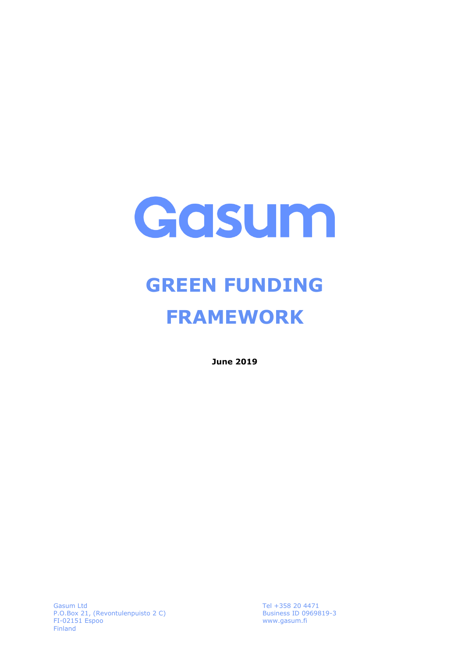

# **GREEN FUNDING FRAMEWORK**

**June 2019**

Gasum Ltd P.O.Box 21, (Revontulenpuisto 2 C) FI-02151 Espoo Finland

Tel +358 20 4471 Business ID 0969819-3 www.gasum.fi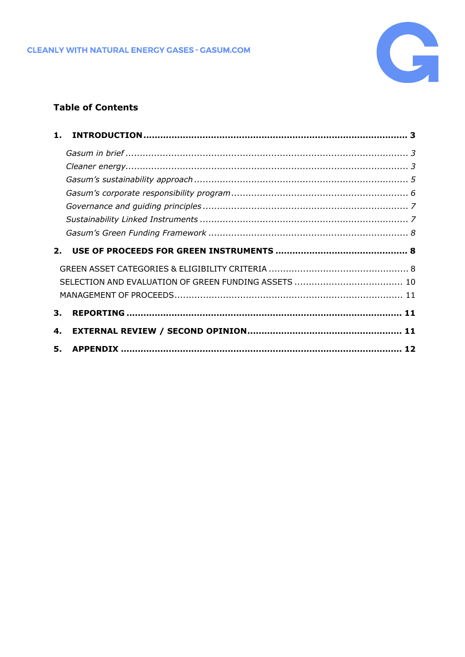

## **Table of Contents**

| 1. |  |
|----|--|
|    |  |
|    |  |
|    |  |
|    |  |
|    |  |
|    |  |
|    |  |
|    |  |
|    |  |
|    |  |
|    |  |
|    |  |
| 3. |  |
| 4. |  |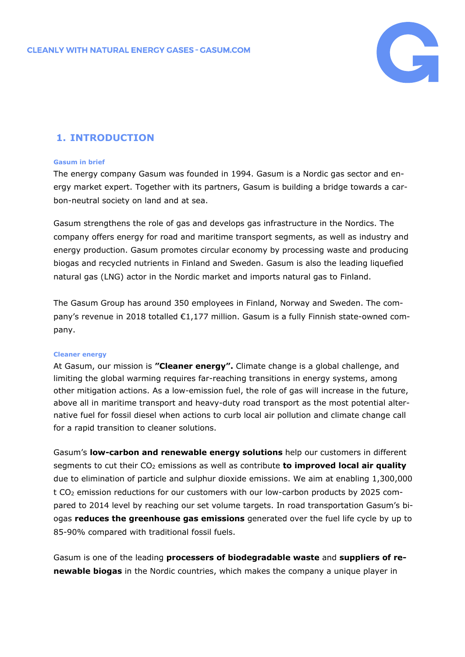

# <span id="page-2-0"></span>**1. INTRODUCTION**

### <span id="page-2-1"></span>**Gasum in brief**

The energy company Gasum was founded in 1994. Gasum is a Nordic gas sector and energy market expert. Together with its partners, Gasum is building a bridge towards a carbon-neutral society on land and at sea.

Gasum strengthens the role of gas and develops gas infrastructure in the Nordics. The company offers energy for road and maritime transport segments, as well as industry and energy production. Gasum promotes circular economy by processing waste and producing biogas and recycled nutrients in Finland and Sweden. Gasum is also the leading liquefied natural gas (LNG) actor in the Nordic market and imports natural gas to Finland.

The Gasum Group has around 350 employees in Finland, Norway and Sweden. The company's revenue in 2018 totalled €1,177 million. Gasum is a fully Finnish state-owned company.

### <span id="page-2-2"></span>**Cleaner energy**

At Gasum, our mission is **"Cleaner energy".** Climate change is a global challenge, and limiting the global warming requires far-reaching transitions in energy systems, among other mitigation actions. As a low-emission fuel, the role of gas will increase in the future, above all in maritime transport and heavy-duty road transport as the most potential alternative fuel for fossil diesel when actions to curb local air pollution and climate change call for a rapid transition to cleaner solutions.

Gasum's **low-carbon and renewable energy solutions** help our customers in different segments to cut their CO<sub>2</sub> emissions as well as contribute **to improved local air quality** due to elimination of particle and sulphur dioxide emissions. We aim at enabling 1,300,000 t CO<sup>2</sup> emission reductions for our customers with our low-carbon products by 2025 compared to 2014 level by reaching our set volume targets. In road transportation Gasum's biogas **reduces the greenhouse gas emissions** generated over the fuel life cycle by up to 85-90% compared with traditional fossil fuels.

Gasum is one of the leading **processers of biodegradable waste** and **suppliers of renewable biogas** in the Nordic countries, which makes the company a unique player in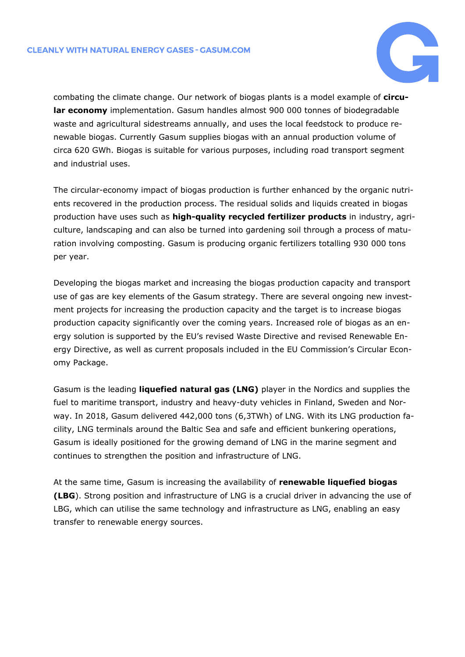

combating the climate change. Our network of biogas plants is a model example of **circular economy** implementation. Gasum handles almost 900 000 tonnes of biodegradable waste and agricultural sidestreams annually, and uses the local feedstock to produce renewable biogas. Currently Gasum supplies biogas with an annual production volume of circa 620 GWh. Biogas is suitable for various purposes, including road transport segment and industrial uses.

The circular-economy impact of biogas production is further enhanced by the organic nutrients recovered in the production process. The residual solids and liquids created in biogas production have uses such as **high-quality recycled fertilizer products** in industry, agriculture, landscaping and can also be turned into gardening soil through a process of maturation involving composting. Gasum is producing organic fertilizers totalling 930 000 tons per year.

Developing the biogas market and increasing the biogas production capacity and transport use of gas are key elements of the Gasum strategy. There are several ongoing new investment projects for increasing the production capacity and the target is to increase biogas production capacity significantly over the coming years. Increased role of biogas as an energy solution is supported by the EU's revised Waste Directive and revised Renewable Energy Directive, as well as current proposals included in the EU Commission's Circular Economy Package.

Gasum is the leading **liquefied natural gas (LNG)** player in the Nordics and supplies the fuel to maritime transport, industry and heavy-duty vehicles in Finland, Sweden and Norway. In 2018, Gasum delivered 442,000 tons (6,3TWh) of LNG. With its LNG production facility, LNG terminals around the Baltic Sea and safe and efficient bunkering operations, Gasum is ideally positioned for the growing demand of LNG in the marine segment and continues to strengthen the position and infrastructure of LNG.

At the same time, Gasum is increasing the availability of **renewable liquefied biogas (LBG**). Strong position and infrastructure of LNG is a crucial driver in advancing the use of LBG, which can utilise the same technology and infrastructure as LNG, enabling an easy transfer to renewable energy sources.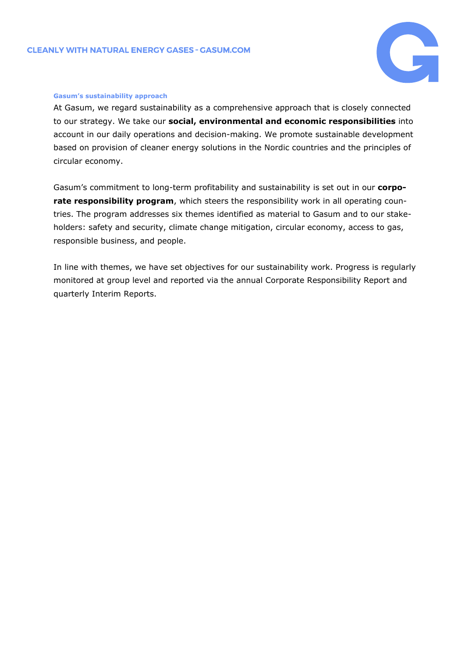

#### <span id="page-4-0"></span>**Gasum's sustainability approach**

At Gasum, we regard sustainability as a comprehensive approach that is closely connected to our strategy. We take our **social, environmental and economic responsibilities** into account in our daily operations and decision-making. We promote sustainable development based on provision of cleaner energy solutions in the Nordic countries and the principles of circular economy.

Gasum's commitment to long-term profitability and sustainability is set out in our **corporate responsibility program**, which steers the responsibility work in all operating countries. The program addresses six themes identified as material to Gasum and to our stakeholders: safety and security, climate change mitigation, circular economy, access to gas, responsible business, and people.

In line with themes, we have set objectives for our sustainability work. Progress is regularly monitored at group level and reported via the annual Corporate Responsibility Report and quarterly Interim Reports.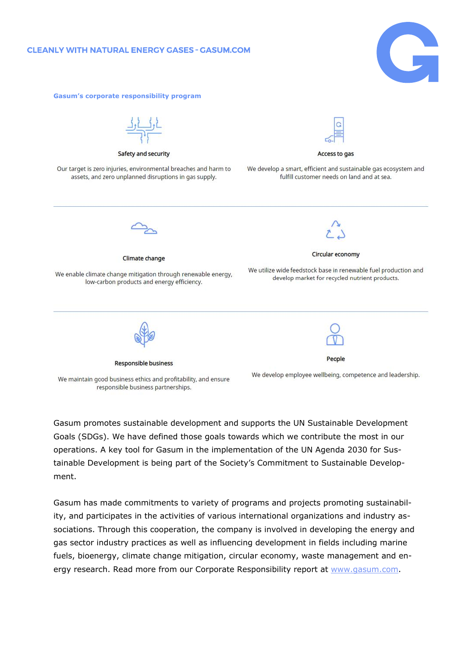<span id="page-5-0"></span>**Gasum's corporate responsibility program**





Gasum promotes sustainable development and supports the UN Sustainable Development Goals (SDGs). We have defined those goals towards which we contribute the most in our operations. A key tool for Gasum in the implementation of the UN Agenda 2030 for Sustainable Development is being part of the Society's Commitment to Sustainable Development.

Gasum has made commitments to variety of programs and projects promoting sustainability, and participates in the activities of various international organizations and industry associations. Through this cooperation, the company is involved in developing the energy and gas sector industry practices as well as influencing development in fields including marine fuels, bioenergy, climate change mitigation, circular economy, waste management and energy research. Read more from our Corporate Responsibility report at [www.gasum.com.](http://www.gasum.com/)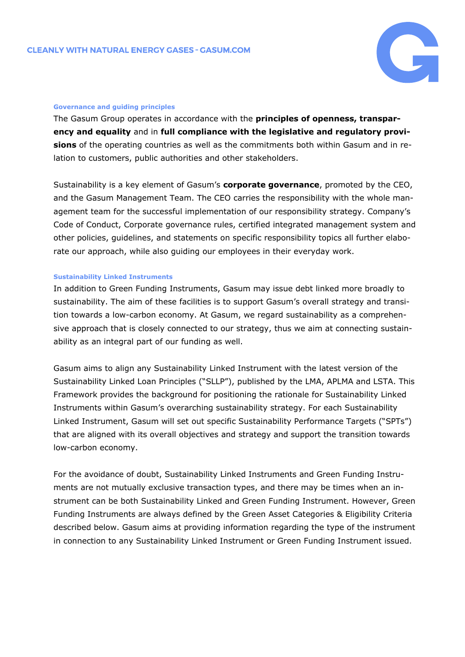

#### <span id="page-6-0"></span>**Governance and guiding principles**

The Gasum Group operates in accordance with the **principles of openness, transparency and equality** and in **full compliance with the legislative and regulatory provisions** of the operating countries as well as the commitments both within Gasum and in relation to customers, public authorities and other stakeholders.

Sustainability is a key element of Gasum's **corporate governance**, promoted by the CEO, and the Gasum Management Team. The CEO carries the responsibility with the whole management team for the successful implementation of our responsibility strategy. Company's Code of Conduct, Corporate governance rules, certified integrated management system and other policies, guidelines, and statements on specific responsibility topics all further elaborate our approach, while also guiding our employees in their everyday work.

### <span id="page-6-1"></span>**Sustainability Linked Instruments**

In addition to Green Funding Instruments, Gasum may issue debt linked more broadly to sustainability. The aim of these facilities is to support Gasum's overall strategy and transition towards a low-carbon economy. At Gasum, we regard sustainability as a comprehensive approach that is closely connected to our strategy, thus we aim at connecting sustainability as an integral part of our funding as well.

Gasum aims to align any Sustainability Linked Instrument with the latest version of the Sustainability Linked Loan Principles ("SLLP"), published by the LMA, APLMA and LSTA. This Framework provides the background for positioning the rationale for Sustainability Linked Instruments within Gasum's overarching sustainability strategy. For each Sustainability Linked Instrument, Gasum will set out specific Sustainability Performance Targets ("SPTs") that are aligned with its overall objectives and strategy and support the transition towards low-carbon economy.

For the avoidance of doubt, Sustainability Linked Instruments and Green Funding Instruments are not mutually exclusive transaction types, and there may be times when an instrument can be both Sustainability Linked and Green Funding Instrument. However, Green Funding Instruments are always defined by the Green Asset Categories & Eligibility Criteria described below. Gasum aims at providing information regarding the type of the instrument in connection to any Sustainability Linked Instrument or Green Funding Instrument issued.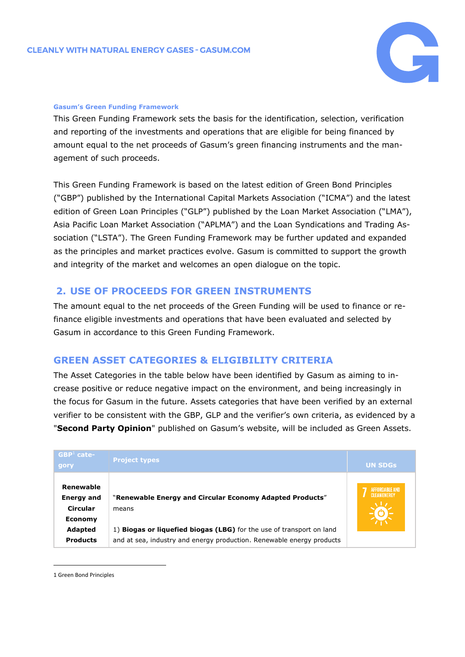

## <span id="page-7-0"></span>**Gasum's Green Funding Framework**

This Green Funding Framework sets the basis for the identification, selection, verification and reporting of the investments and operations that are eligible for being financed by amount equal to the net proceeds of Gasum's green financing instruments and the management of such proceeds.

This Green Funding Framework is based on the latest edition of Green Bond Principles ("GBP") published by the International Capital Markets Association ("ICMA") and the latest edition of Green Loan Principles ("GLP") published by the Loan Market Association ("LMA"), Asia Pacific Loan Market Association ("APLMA") and the Loan Syndications and Trading Association ("LSTA"). The Green Funding Framework may be further updated and expanded as the principles and market practices evolve. Gasum is committed to support the growth and integrity of the market and welcomes an open dialogue on the topic.

## <span id="page-7-1"></span>**2. USE OF PROCEEDS FOR GREEN INSTRUMENTS**

The amount equal to the net proceeds of the Green Funding will be used to finance or refinance eligible investments and operations that have been evaluated and selected by Gasum in accordance to this Green Funding Framework.

# <span id="page-7-2"></span>**GREEN ASSET CATEGORIES & ELIGIBILITY CRITERIA**

The Asset Categories in the table below have been identified by Gasum as aiming to increase positive or reduce negative impact on the environment, and being increasingly in the focus for Gasum in the future. Assets categories that have been verified by an external verifier to be consistent with the GBP, GLP and the verifier's own criteria, as evidenced by a "**Second Party Opinion**" published on Gasum's website, will be included as Green Assets.

| $GBP1$ cate-<br>gory                                         | <b>Project types</b>                                                                                                                          | <b>UN SDGs</b> |
|--------------------------------------------------------------|-----------------------------------------------------------------------------------------------------------------------------------------------|----------------|
| Renewable<br><b>Energy and</b><br>Circular<br><b>Economy</b> | "Renewable Energy and Circular Economy Adapted Products"<br>means                                                                             | AFFORDABLE AND |
| Adapted<br><b>Products</b>                                   | 1) Biogas or liquefied biogas (LBG) for the use of transport on land<br>and at sea, industry and energy production. Renewable energy products |                |

<sup>1</sup> Green Bond Principles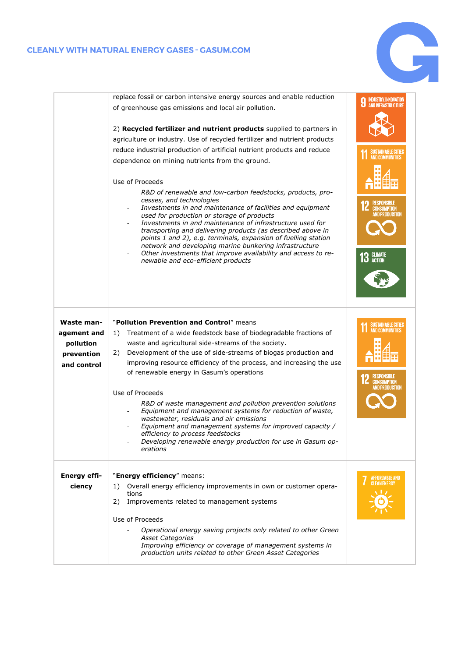## **CLEANLY WITH NATURAL ENERGY GASES - GASUM.COM**



|                                                                     | replace fossil or carbon intensive energy sources and enable reduction                                                                                                                                                                                                                                                                                                                                                                                                                                                                                                                                                                                                                                                                                                                                                                                                  |                                                                                                                                                            |
|---------------------------------------------------------------------|-------------------------------------------------------------------------------------------------------------------------------------------------------------------------------------------------------------------------------------------------------------------------------------------------------------------------------------------------------------------------------------------------------------------------------------------------------------------------------------------------------------------------------------------------------------------------------------------------------------------------------------------------------------------------------------------------------------------------------------------------------------------------------------------------------------------------------------------------------------------------|------------------------------------------------------------------------------------------------------------------------------------------------------------|
|                                                                     | of greenhouse gas emissions and local air pollution.                                                                                                                                                                                                                                                                                                                                                                                                                                                                                                                                                                                                                                                                                                                                                                                                                    | <b>INDUSTRY, INNOVATION<br/>AND INFRASTRUCTURE</b>                                                                                                         |
|                                                                     | 2) Recycled fertilizer and nutrient products supplied to partners in<br>agriculture or industry. Use of recycled fertilizer and nutrient products<br>reduce industrial production of artificial nutrient products and reduce<br>dependence on mining nutrients from the ground.<br>Use of Proceeds<br>R&D of renewable and low-carbon feedstocks, products, pro-<br>cesses, and technologies<br>Investments in and maintenance of facilities and equipment<br>used for production or storage of products<br>Investments in and maintenance of infrastructure used for<br>transporting and delivering products (as described above in<br>points 1 and 2), e.g. terminals, expansion of fuelling station<br>network and developing marine bunkering infrastructure<br>Other investments that improve availability and access to re-<br>newable and eco-efficient products | <b>SUSTAINABLE CITIES</b><br><b>AND COMMUNITIES</b><br><b>RESPONSIBLE</b><br><b>CONSUMPTION</b><br>AND PRODUCTION<br><b>CLIMATE</b><br>13<br><b>ACTION</b> |
| Waste man-<br>agement and<br>pollution<br>prevention<br>and control | "Pollution Prevention and Control" means<br>Treatment of a wide feedstock base of biodegradable fractions of<br>1)<br>waste and agricultural side-streams of the society.<br>Development of the use of side-streams of biogas production and<br>2)<br>improving resource efficiency of the process, and increasing the use<br>of renewable energy in Gasum's operations<br>Use of Proceeds<br>R&D of waste management and pollution prevention solutions<br>Equipment and management systems for reduction of waste,<br>wastewater, residuals and air emissions<br>Equipment and management systems for improved capacity /<br>efficiency to process feedstocks<br>Developing renewable energy production for use in Gasum op-<br>erations                                                                                                                              | SUSTAINABLE CITIES<br>AND COMMUNITIES<br><b>12 RESPUNSION</b><br>AND PRODUCTION                                                                            |
| <b>Energy effi-</b><br>ciency                                       | "Energy efficiency" means:<br>Overall energy efficiency improvements in own or customer opera-<br>1)<br>tions<br>2)<br>Improvements related to management systems<br>Use of Proceeds<br>Operational energy saving projects only related to other Green<br><b>Asset Categories</b><br>Improving efficiency or coverage of management systems in<br>production units related to other Green Asset Categories                                                                                                                                                                                                                                                                                                                                                                                                                                                              | AFFORDABLE AND<br>CLEAN ENERGY                                                                                                                             |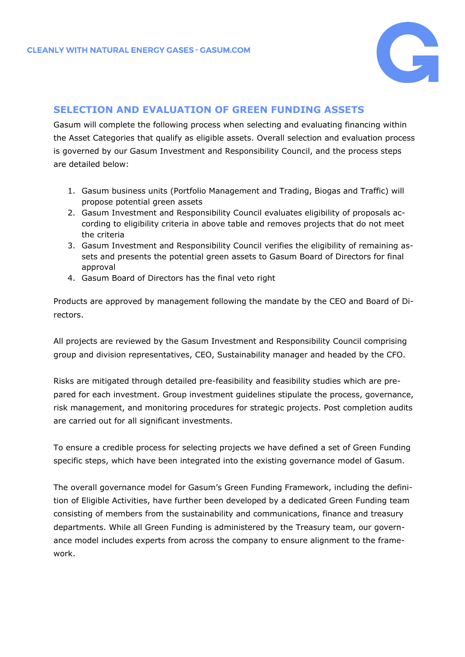

## <span id="page-9-0"></span>**SELECTION AND EVALUATION OF GREEN FUNDING ASSETS**

Gasum will complete the following process when selecting and evaluating financing within the Asset Categories that qualify as eligible assets. Overall selection and evaluation process is governed by our Gasum Investment and Responsibility Council, and the process steps are detailed below:

- 1. Gasum business units (Portfolio Management and Trading, Biogas and Traffic) will propose potential green assets
- 2. Gasum Investment and Responsibility Council evaluates eligibility of proposals according to eligibility criteria in above table and removes projects that do not meet the criteria
- 3. Gasum Investment and Responsibility Council verifies the eligibility of remaining assets and presents the potential green assets to Gasum Board of Directors for final approval
- 4. Gasum Board of Directors has the final veto right

Products are approved by management following the mandate by the CEO and Board of Directors.

All projects are reviewed by the Gasum Investment and Responsibility Council comprising group and division representatives, CEO, Sustainability manager and headed by the CFO.

Risks are mitigated through detailed pre-feasibility and feasibility studies which are prepared for each investment. Group investment guidelines stipulate the process, governance, risk management, and monitoring procedures for strategic projects. Post completion audits are carried out for all significant investments.

To ensure a credible process for selecting projects we have defined a set of Green Funding specific steps, which have been integrated into the existing governance model of Gasum.

The overall governance model for Gasum's Green Funding Framework, including the definition of Eligible Activities, have further been developed by a dedicated Green Funding team consisting of members from the sustainability and communications, finance and treasury departments. While all Green Funding is administered by the Treasury team, our governance model includes experts from across the company to ensure alignment to the framework.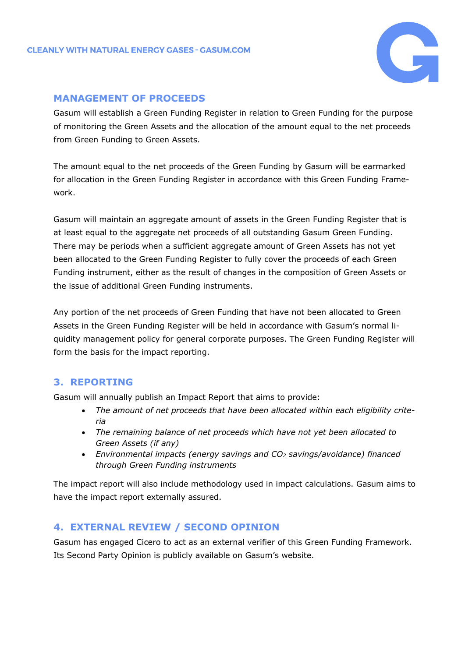

## <span id="page-10-0"></span>**MANAGEMENT OF PROCEEDS**

Gasum will establish a Green Funding Register in relation to Green Funding for the purpose of monitoring the Green Assets and the allocation of the amount equal to the net proceeds from Green Funding to Green Assets.

The amount equal to the net proceeds of the Green Funding by Gasum will be earmarked for allocation in the Green Funding Register in accordance with this Green Funding Framework.

Gasum will maintain an aggregate amount of assets in the Green Funding Register that is at least equal to the aggregate net proceeds of all outstanding Gasum Green Funding. There may be periods when a sufficient aggregate amount of Green Assets has not yet been allocated to the Green Funding Register to fully cover the proceeds of each Green Funding instrument, either as the result of changes in the composition of Green Assets or the issue of additional Green Funding instruments.

Any portion of the net proceeds of Green Funding that have not been allocated to Green Assets in the Green Funding Register will be held in accordance with Gasum's normal liquidity management policy for general corporate purposes. The Green Funding Register will form the basis for the impact reporting.

# <span id="page-10-1"></span>**3. REPORTING**

Gasum will annually publish an Impact Report that aims to provide:

- *The amount of net proceeds that have been allocated within each eligibility criteria*
- *The remaining balance of net proceeds which have not yet been allocated to Green Assets (if any)*
- *Environmental impacts (energy savings and CO<sup>2</sup> savings/avoidance) financed through Green Funding instruments*

The impact report will also include methodology used in impact calculations. Gasum aims to have the impact report externally assured.

# <span id="page-10-2"></span>**4. EXTERNAL REVIEW / SECOND OPINION**

Gasum has engaged Cicero to act as an external verifier of this Green Funding Framework. Its Second Party Opinion is publicly available on Gasum's website.